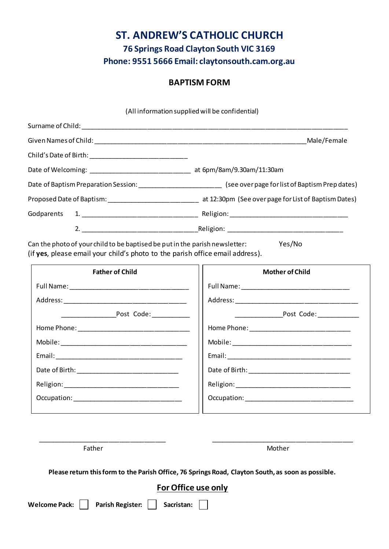## **ST. ANDREW'S CATHOLIC CHURCH 76 Springs Road Clayton South VIC 3169 Phone: 9551 5666 Email: claytonsouth.cam.org.au**

### **BAPTISM FORM**

(All information supplied will be confidential) Surname of Child: **Example 20** Given Names of Child: \_\_\_\_\_\_\_\_\_\_\_\_\_\_\_\_\_\_\_\_\_\_\_\_\_\_\_\_\_\_\_\_\_\_\_\_\_\_\_\_\_\_\_\_\_\_\_\_\_\_\_\_\_\_\_\_\_\_\_\_Male/Female Child's Date of Birth: \_\_\_\_\_\_\_\_\_\_\_\_\_\_\_\_\_\_\_\_\_\_\_\_\_\_\_\_ Date of Welcoming: \_\_\_\_\_\_\_\_\_\_\_\_\_\_\_\_\_\_\_\_\_\_\_\_\_\_\_\_\_ at 6pm/8am/9.30am/11:30am Date of Baptism Preparation Session: \_\_\_\_\_\_\_\_\_\_\_\_\_\_\_\_\_\_\_\_\_\_\_\_ (see over page for list of Baptism Prep dates) Proposed Date of Baptism: \_\_\_\_\_\_\_\_\_\_\_\_\_\_\_\_\_\_\_\_\_\_\_\_\_\_\_\_\_\_\_\_\_\_ at 12:30pm (See over page for List of Baptism Dates) Godparents 1. \_\_\_\_\_\_\_\_\_\_\_\_\_\_\_\_\_\_\_\_\_\_\_\_\_\_\_\_\_\_\_\_\_ Religion: \_\_\_\_\_\_\_\_\_\_\_\_\_\_\_\_\_\_\_\_\_\_\_\_\_\_\_\_\_\_\_\_\_\_ 2. \_\_\_\_\_\_\_\_\_\_\_\_\_\_\_\_\_\_\_\_\_\_\_\_\_\_\_\_\_\_\_\_\_Religion: \_\_\_\_\_\_\_\_\_\_\_\_\_\_\_\_\_\_\_\_\_\_\_\_\_\_\_\_\_\_\_\_\_ Can the photo of your child to be baptised be put in the parish newsletter: Yes/No (if **yes**, please email your child's photo to the parish office email address). **Father of Child** Full Name: \_\_\_\_\_\_\_\_\_\_\_\_\_\_\_\_\_\_\_\_\_\_\_\_\_\_\_\_\_\_\_\_\_\_ Address: \_\_\_\_\_\_\_\_\_\_\_\_\_\_\_\_\_\_\_\_\_\_\_\_\_\_\_\_\_\_\_\_\_\_\_ \_\_\_\_\_\_\_\_\_\_\_\_\_\_\_\_Post Code: \_\_\_\_\_\_\_\_\_\_\_ Home Phone: \_\_\_\_\_\_\_\_\_\_\_\_\_\_\_\_\_\_\_\_\_\_\_\_\_\_\_\_\_\_\_\_ Mobile: \_\_\_\_\_\_\_\_\_\_\_\_\_\_\_\_\_\_\_\_\_\_\_\_\_\_\_\_\_\_\_\_\_\_\_\_ Email: \_\_\_\_\_\_\_\_\_\_\_\_\_\_\_\_\_\_\_\_\_\_\_\_\_\_\_\_\_\_\_\_\_\_\_\_ Date of Birth: \_\_\_\_\_\_\_\_\_\_\_\_\_\_\_\_\_\_\_\_\_\_\_\_\_\_\_\_\_ Religion: \_\_\_\_\_\_\_\_\_\_\_\_\_\_\_\_\_\_\_\_\_\_\_\_\_\_\_\_\_\_\_\_\_ Occupation: \_\_\_\_\_\_\_\_\_\_\_\_\_\_\_\_\_\_\_\_\_\_\_\_\_\_\_\_\_\_\_ **Mother of Child** Full Name: \_\_\_\_\_\_\_\_\_\_\_\_\_\_\_\_\_\_\_\_\_\_\_\_\_\_\_\_\_\_\_ Address: \_\_\_\_\_\_\_\_\_\_\_\_\_\_\_\_\_\_\_\_\_\_\_\_\_\_\_\_\_\_\_\_\_\_\_ \_\_\_\_\_\_\_\_\_\_\_\_\_\_Post Code: \_\_\_\_\_\_\_\_\_\_\_\_ Home Phone: \_\_\_\_\_\_\_\_\_\_\_\_\_\_\_\_\_\_\_\_\_\_\_\_\_\_\_\_\_ Mobile: \_\_\_\_\_\_\_\_\_\_\_\_\_\_\_\_\_\_\_\_\_\_\_\_\_\_\_\_\_\_\_\_\_\_ Email: \_\_\_\_\_\_\_\_\_\_\_\_\_\_\_\_\_\_\_\_\_\_\_\_\_\_\_\_\_\_\_\_\_\_\_ Date of Birth: \_\_\_\_\_\_\_\_\_\_\_\_\_\_\_\_\_\_\_\_\_\_\_\_\_\_\_\_\_ Religion: \_\_\_\_\_\_\_\_\_\_\_\_\_\_\_\_\_\_\_\_\_\_\_\_\_\_\_\_\_\_\_\_\_ Occupation: \_\_\_\_\_\_\_\_\_\_\_\_\_\_\_\_\_\_\_\_\_\_\_\_\_\_\_\_\_\_\_

Father Mother Music and Mother Mother Mother Mother

**Please return this form to the Parish Office, 76 Springs Road, Clayton South, as soon as possible.**

\_\_\_\_\_\_\_\_\_\_\_\_\_\_\_\_\_\_\_\_\_\_\_\_\_\_\_\_\_\_\_\_\_\_\_\_ \_\_\_\_\_\_\_\_\_\_\_\_\_\_\_\_\_\_\_\_\_\_\_\_\_\_\_\_\_\_\_\_\_\_\_\_\_\_\_\_

#### **For Office use only**

Welcome Pack: | | Parish Register: | | Sacristan: | |